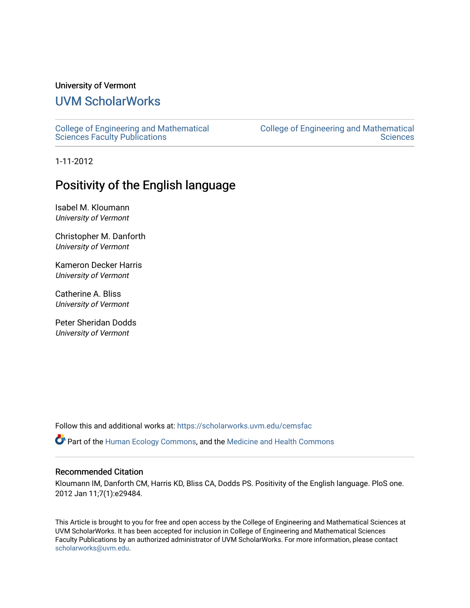## University of Vermont

# [UVM ScholarWorks](https://scholarworks.uvm.edu/)

[College of Engineering and Mathematical](https://scholarworks.uvm.edu/cemsfac)  [Sciences Faculty Publications](https://scholarworks.uvm.edu/cemsfac)

[College of Engineering and Mathematical](https://scholarworks.uvm.edu/cems)  **Sciences** 

1-11-2012

## Positivity of the English language

Isabel M. Kloumann University of Vermont

Christopher M. Danforth University of Vermont

Kameron Decker Harris University of Vermont

Catherine A. Bliss University of Vermont

Peter Sheridan Dodds University of Vermont

Follow this and additional works at: [https://scholarworks.uvm.edu/cemsfac](https://scholarworks.uvm.edu/cemsfac?utm_source=scholarworks.uvm.edu%2Fcemsfac%2F42&utm_medium=PDF&utm_campaign=PDFCoverPages) 

Part of the [Human Ecology Commons,](http://network.bepress.com/hgg/discipline/1335?utm_source=scholarworks.uvm.edu%2Fcemsfac%2F42&utm_medium=PDF&utm_campaign=PDFCoverPages) and the [Medicine and Health Commons](http://network.bepress.com/hgg/discipline/422?utm_source=scholarworks.uvm.edu%2Fcemsfac%2F42&utm_medium=PDF&utm_campaign=PDFCoverPages) 

#### Recommended Citation

Kloumann IM, Danforth CM, Harris KD, Bliss CA, Dodds PS. Positivity of the English language. PloS one. 2012 Jan 11;7(1):e29484.

This Article is brought to you for free and open access by the College of Engineering and Mathematical Sciences at UVM ScholarWorks. It has been accepted for inclusion in College of Engineering and Mathematical Sciences Faculty Publications by an authorized administrator of UVM ScholarWorks. For more information, please contact [scholarworks@uvm.edu](mailto:scholarworks@uvm.edu).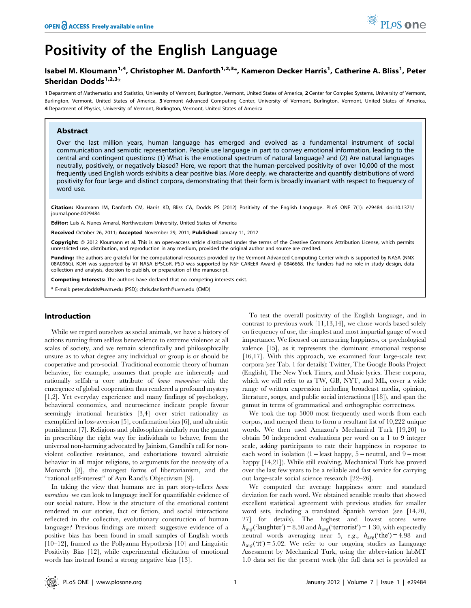# Positivity of the English Language

### Isabel M. Kloumann<sup>1,4</sup>, Christopher M. Danforth<sup>1,2,3</sup>\*, Kameron Decker Harris<sup>1</sup>, Catherine A. Bliss<sup>1</sup>, Peter Sheridan Dodds $1,2,3$ \*

1 Department of Mathematics and Statistics, University of Vermont, Burlington, Vermont, United States of America, 2 Center for Complex Systems, University of Vermont, Burlington, Vermont, United States of America, 3 Vermont Advanced Computing Center, University of Vermont, Burlington, Vermont, United States of America, 4 Department of Physics, University of Vermont, Burlington, Vermont, United States of America

#### Abstract

Over the last million years, human language has emerged and evolved as a fundamental instrument of social communication and semiotic representation. People use language in part to convey emotional information, leading to the central and contingent questions: (1) What is the emotional spectrum of natural language? and (2) Are natural languages neutrally, positively, or negatively biased? Here, we report that the human-perceived positivity of over 10,000 of the most frequently used English words exhibits a clear positive bias. More deeply, we characterize and quantify distributions of word positivity for four large and distinct corpora, demonstrating that their form is broadly invariant with respect to frequency of word use.

Citation: Kloumann IM, Danforth CM, Harris KD, Bliss CA, Dodds PS (2012) Positivity of the English Language. PLoS ONE 7(1): e29484. doi:10.1371/ journal.pone.0029484

Editor: Luís A. Nunes Amaral, Northwestern University, United States of America

Received October 26, 2011; Accepted November 29, 2011; Published January 11, 2012

**Copyright:** © 2012 Kloumann et al. This is an open-access article distributed under the terms of the Creative Commons Attribution License, which permits unrestricted use, distribution, and reproduction in any medium, provided the original author and source are credited.

Funding: The authors are grateful for the computational resources provided by the Vermont Advanced Computing Center which is supported by NASA (NNX 08A096G). KDH was supported by VT-NASA EPSCoR. PSD was supported by NSF CAREER Award # 0846668. The funders had no role in study design, data collection and analysis, decision to publish, or preparation of the manuscript.

Competing Interests: The authors have declared that no competing interests exist.

\* E-mail: peter.dodds@uvm.edu (PSD); chris.danforth@uvm.edu (CMD)

#### Introduction

While we regard ourselves as social animals, we have a history of actions running from selfless benevolence to extreme violence at all scales of society, and we remain scientifically and philosophically unsure as to what degree any individual or group is or should be cooperative and pro-social. Traditional economic theory of human behavior, for example, assumes that people are inherently and rationally selfish–a core attribute of homo economicus–with the emergence of global cooperation thus rendered a profound mystery [1,2]. Yet everyday experience and many findings of psychology, behavioral economics, and neuroscience indicate people favour seemingly irrational heuristics [3,4] over strict rationality as exemplified in loss-aversion [5], confirmation bias [6], and altruistic punishment [7]. Religions and philosophies similarly run the gamut in prescribing the right way for individuals to behave, from the universal non-harming advocated by Jainism, Gandhi's call for nonviolent collective resistance, and exhortations toward altruistic behavior in all major religions, to arguments for the necessity of a Monarch [8], the strongest forms of libertarianism, and the ''rational self-interest'' of Ayn Rand's Objectivism [9].

In taking the view that humans are in part story-tellers–homo narrativus–we can look to language itself for quantifiable evidence of our social nature. How is the structure of the emotional content rendered in our stories, fact or fiction, and social interactions reflected in the collective, evolutionary construction of human language? Previous findings are mixed: suggestive evidence of a positive bias has been found in small samples of English words [10–12], framed as the Pollyanna Hypothesis [10] and Linguistic Positivity Bias [12], while experimental elicitation of emotional words has instead found a strong negative bias [13].

To test the overall positivity of the English language, and in contrast to previous work [11,13,14], we chose words based solely on frequency of use, the simplest and most impartial gauge of word importance. We focused on measuring happiness, or psychological valence [15], as it represents the dominant emotional response [16,17]. With this approach, we examined four large-scale text corpora (see Tab. 1 for details): Twitter, The Google Books Project (English), The New York Times, and Music lyrics. These corpora, which we will refer to as TW, GB, NYT, and ML, cover a wide range of written expression including broadcast media, opinion, literature, songs, and public social interactions ([18]), and span the gamut in terms of grammatical and orthographic correctness.

We took the top 5000 most frequently used words from each corpus, and merged them to form a resultant list of 10,222 unique words. We then used Amazon's Mechanical Turk [19,20] to obtain 50 independent evaluations per word on a 1 to 9 integer scale, asking participants to rate their happiness in response to each word in isolation (1 = least happy,  $5$  = neutral, and  $9$  = most happy [14,21]). While still evolving, Mechanical Turk has proved over the last few years to be a reliable and fast service for carrying out large-scale social science research [22–26].

We computed the average happiness score and standard deviation for each word. We obtained sensible results that showed excellent statistical agreement with previous studies for smaller word sets, including a translated Spanish version (see [14,20, 27] for details). The highest and lowest scores were  $h_{avg}$ ('laughter') = 8.50 and  $h_{avg}$ ('terrorist') = 1.30, with expectedly neutral words averaging near 5, e.g.,  $h_{avg}$  ('the') = 4.98 and  $h_{avg}$ ('it') = 5.02. We refer to our ongoing studies as Language Assessment by Mechanical Turk, using the abbreviation labMT 1.0 data set for the present work (the full data set is provided as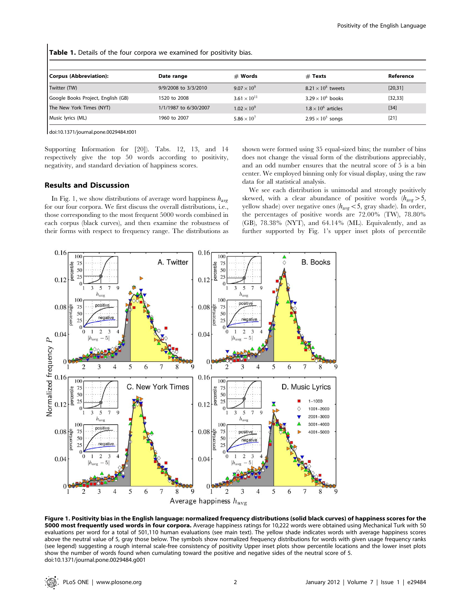Table 1. Details of the four corpora we examined for positivity bias.

| Corpus (Abbreviation):             | Date range            | $#$ Words             | $#$ Texts                  | Reference |
|------------------------------------|-----------------------|-----------------------|----------------------------|-----------|
| Twitter (TW)                       | 9/9/2008 to 3/3/2010  | $9.07 \times 10^{9}$  | $8.21 \times 10^8$ tweets  | [20, 31]  |
| Google Books Project, English (GB) | 1520 to 2008          | $3.61 \times 10^{11}$ | $3.29 \times 10^6$ books   | [32, 33]  |
| The New York Times (NYT)           | 1/1/1987 to 6/30/2007 | $1.02 \times 10^{9}$  | $1.8 \times 10^6$ articles | $[34]$    |
| Music lyrics (ML)                  | 1960 to 2007          | $5.86 \times 10^{7}$  | $2.95 \times 10^5$ songs   | $[21]$    |

doi:10.1371/journal.pone.0029484.t001

Supporting Information for [20]). Tabs. 12, 13, and 14 respectively give the top 50 words according to positivity, negativity, and standard deviation of happiness scores.

#### shown were formed using 35 equal-sized bins; the number of bins does not change the visual form of the distributions appreciably, and an odd number ensures that the neutral score of 5 is a bin center. We employed binning only for visual display, using the raw data for all statistical analysis.

#### Results and Discussion

In Fig. 1, we show distributions of average word happiness  $h_{\text{ave}}$ for our four corpora. We first discuss the overall distributions, i.e., those corresponding to the most frequent 5000 words combined in each corpus (black curves), and then examine the robustness of their forms with respect to frequency range. The distributions as

We see each distribution is unimodal and strongly positively skewed, with a clear abundance of positive words  $(h_{\text{avg}} > 5,$ yellow shade) over negative ones  $(h_{avg} < 5$ , gray shade). In order, the percentages of positive words are 72.00% (TW), 78.80% (GB), 78.38% (NYT), and 64.14% (ML). Equivalently, and as further supported by Fig. 1's upper inset plots of percentile



Figure 1. Positivity bias in the English language: normalized frequency distributions (solid black curves) of happiness scores for the 5000 most frequently used words in four corpora. Average happiness ratings for 10,222 words were obtained using Mechanical Turk with 50 evaluations per word for a total of 501,110 human evaluations (see main text). The yellow shade indicates words with average happiness scores above the neutral value of 5, gray those below. The symbols show normalized frequency distributions for words with given usage frequency ranks (see legend) suggesting a rough internal scale-free consistency of positivity Upper inset plots show percentile locations and the lower inset plots show the number of words found when cumulating toward the positive and negative sides of the neutral score of 5. doi:10.1371/journal.pone.0029484.g001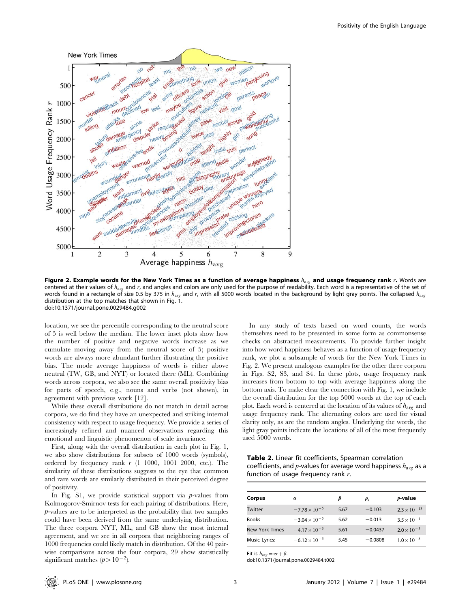

Figure 2. Example words for the New York Times as a function of average happiness  $h_{avg}$  and usage frequency rank r. Words are centered at their values of  $h_{\text{avg}}$  and r, and angles and colors are only used for the purpose of readability. Each word is a representative of the set of words found in a rectangle of size 0.5 by 375 in  $h_{avg}$  and r, with all 5000 words located in the background by light gray points. The collapsed  $h_{avg}$ distribution at the top matches that shown in Fig. 1. doi:10.1371/journal.pone.0029484.g002

location, we see the percentile corresponding to the neutral score of 5 is well below the median. The lower inset plots show how the number of positive and negative words increase as we cumulate moving away from the neutral score of 5; positive words are always more abundant further illustrating the positive bias. The mode average happiness of words is either above neutral (TW, GB, and NYT) or located there (ML). Combining words across corpora, we also see the same overall positivity bias for parts of speech, e.g., nouns and verbs (not shown), in agreement with previous work [12].

While these overall distributions do not match in detail across corpora, we do find they have an unexpected and striking internal consistency with respect to usage frequency. We provide a series of increasingly refined and nuanced observations regarding this emotional and linguistic phenomenon of scale invariance.

First, along with the overall distribution in each plot in Fig. 1, we also show distributions for subsets of 1000 words (symbols), ordered by frequency rank  $r$  (1–1000, 1001–2000, etc.). The similarity of these distributions suggests to the eye that common and rare words are similarly distributed in their perceived degree of positivity.

In Fig. S1, we provide statistical support via  $p$ -values from Kolmogorov-Smirnov tests for each pairing of distributions. Here, p-values are to be interpreted as the probability that two samples could have been derived from the same underlying distribution. The three corpora NYT, ML, and GB show the most internal agreement, and we see in all corpora that neighboring ranges of 1000 frequencies could likely match in distribution. Of the 40 pairwise comparisons across the four corpora, 29 show statistically significant matches  $(p>10^{-2})$ .

In any study of texts based on word counts, the words themselves need to be presented in some form as commonsense checks on abstracted measurements. To provide further insight into how word happiness behaves as a function of usage frequency rank, we plot a subsample of words for the New York Times in Fig. 2. We present analogous examples for the other three corpora in Figs. S2, S3, and S4. In these plots, usage frequency rank increases from bottom to top with average happiness along the bottom axis. To make clear the connection with Fig. 1, we include the overall distribution for the top 5000 words at the top of each plot. Each word is centered at the location of its values of  $h_{avg}$  and usage frequency rank. The alternating colors are used for visual clarity only, as are the random angles. Underlying the words, the light gray points indicate the locations of all of the most frequently used 5000 words.

Table 2. Linear fit coefficients, Spearman correlation coefficients, and p-values for average word happiness  $h_{\text{avg}}$  as a function of usage frequency rank  $r$ .

| Corpus                | $\alpha$               |      | $\rho_{\rm s}$ | $p$ -value            |
|-----------------------|------------------------|------|----------------|-----------------------|
| Twitter               | $-7.78 \times 10^{-5}$ | 5.67 | $-0.103$       | $2.3 \times 10^{-13}$ |
| <b>Books</b>          | $-3.04 \times 10^{-5}$ | 5.62 | $-0.013$       | $3.5 \times 10^{-1}$  |
| <b>New York Times</b> | $-4.17 \times 10^{-5}$ | 5.61 | $-0.0437$      | $2.0 \times 10^{-3}$  |
| Music Lyrics:         | $-6.12 \times 10^{-5}$ | 5.45 | $-0.0808$      | $1.0 \times 10^{-8}$  |

Fit is  $h_{avg} = \alpha r + \beta$ .

doi:10.1371/journal.pone.0029484.t002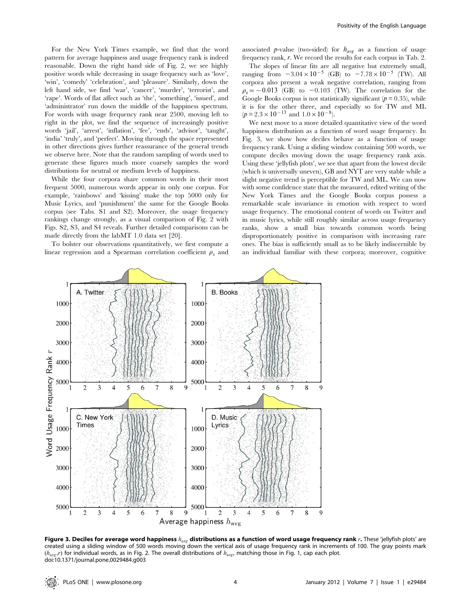For the New York Times example, we find that the word pattern for average happiness and usage frequency rank is indeed reasonable. Down the right hand side of Fig. 2, we see highly positive words while decreasing in usage frequency such as 'love', 'win', 'comedy' 'celebration', and 'pleasure'. Similarly, down the left hand side, we find 'war', 'cancer', 'murder', 'terrorist', and 'rape'. Words of flat affect such as 'the', 'something', 'issued', and 'administrator' run down the middle of the happiness spectrum. For words with usage frequency rank near 2500, moving left to right in the plot, we find the sequence of increasingly positive words 'jail', 'arrest', 'inflation', 'fee', 'ends', 'advisor', 'taught', 'india' 'truly', and 'perfect'. Moving through the space represented in other directions gives further reassurance of the general trends we observe here. Note that the random sampling of words used to generate these figures much more coarsely samples the word distributions for neutral or medium levels of happiness.

While the four corpora share common words in their most frequent 5000, numerous words appear in only one corpus. For example, 'rainbows' and 'kissing' make the top 5000 only for Music Lyrics, and 'punishment' the same for the Google Books corpus (see Tabs. S1 and S2). Moreover, the usage frequency rankings change strongly, as a visual comparison of Fig. 2 with Figs. S2, S3, and S4 reveals. Further detailed comparisons can be made directly from the labMT 1.0 data set [20].

To bolster our observations quantitatively, we first compute a linear regression and a Spearman correlation coefficient  $\rho_s$  and

associated p-value (two-sided) for  $h_{\text{avg}}$  as a function of usage frequency rank, r. We record the results for each corpus in Tab. 2.

The slopes of linear fits are all negative but extremely small, ranging from  $-3.04 \times 10^{-5}$  (GB) to  $-7.78 \times 10^{-5}$  (TW). All corpora also present a weak negative correlation, ranging from  $\rho_s = -0.013$  (GB) to  $-0.103$  (TW). The correlation for the Google Books corpus is not statistically significant  $(p = 0.35)$ , while it is for the other three, and especially so for TW and ML  $(p=2.3\times10^{-13}$  and  $1.0\times10^{-8}$ ).

We next move to a more detailed quantitative view of the word happiness distribution as a function of word usage frequency. In Fig. 3, we show how deciles behave as a function of usage frequency rank. Using a sliding window containing 500 words, we compute deciles moving down the usage frequency rank axis. Using these 'jellyfish plots', we see that apart from the lowest decile (which is universally uneven), GB and NYT are very stable while a slight negative trend is perceptible for TW and ML. We can now with some confidence state that the measured, edited writing of the New York Times and the Google Books corpus possess a remarkable scale invariance in emotion with respect to word usage frequency. The emotional content of words on Twitter and in music lyrics, while still roughly similar across usage frequency ranks, show a small bias towards common words being disproportionately positive in comparison with increasing rare ones. The bias is sufficiently small as to be likely indiscernible by an individual familiar with these corpora; moreover, cognitive



Figure 3. Deciles for average word happiness  $h_{avg}$  distributions as a function of word usage frequency rank r. These 'jellyfish plots' are created using a sliding window of 500 words moving down the vertical axis of usage frequency rank in increments of 100. The gray points mark  $(h_{\text{avg}},r)$  for individual words, as in Fig. 2. The overall distributions of  $h_{\text{avg}}$ , matching those in Fig. 1, cap each plot. doi:10.1371/journal.pone.0029484.g003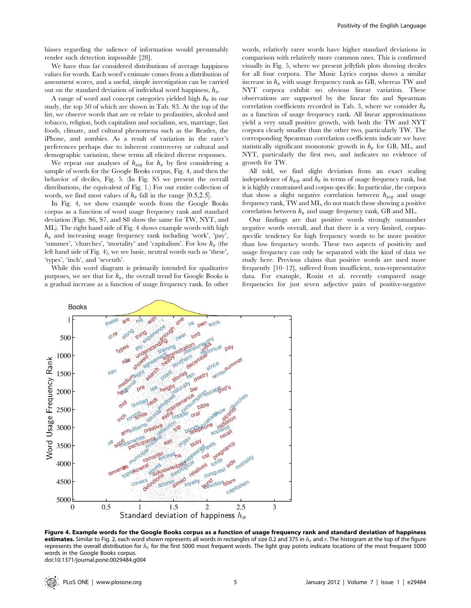We have thus far considered distributions of average happiness values for words. Each word's estimate comes from a distribution of assessment scores, and a useful, simple investigation can be carried out on the standard deviation of individual word happiness,  $h_{\sigma}$ .

A range of word and concept categories yielded high  $h_{\sigma}$  in our study, the top 50 of which are shown in Tab. S3. At the top of the list, we observe words that are or relate to profanities, alcohol and tobacco, religion, both capitalism and socialism, sex, marriage, fast foods, climate, and cultural phenomena such as the Beatles, the iPhone, and zombies. As a result of variation in the rater's preferences perhaps due to inherent controversy or cultural and demographic variation, these terms all elicited diverse responses.

We repeat our analyses of  $h_{avg}$  for  $h_{\sigma}$  by first considering a sample of words for the Google Books corpus, Fig. 4, and then the behavior of deciles, Fig. 5. (In Fig. S5 we present the overall distributions, the equivalent of Fig. 1.) For our entire collection of words, we find most values of  $h_{\sigma}$  fall in the range [0.5,2.5].

In Fig. 4, we show example words from the Google Books corpus as a function of word usage frequency rank and standard deviation (Figs. S6, S7, and S8 show the same for TW, NYT, and ML). The right hand side of Fig. 4 shows example words with high  $h_{\sigma}$  and increasing usage frequency rank including 'work', 'pay', 'summer', 'churches', 'mortality' and 'capitalism'. For low  $h_{\sigma}$  (the left hand side of Fig. 4), we see basic, neutral words such as 'these', 'types', 'inch', and 'seventh'.

While this word diagram is primarily intended for qualitative purposes, we see that for  $h_{\sigma}$ , the overall trend for Google Books is a gradual increase as a function of usage frequency rank. In other

words, relatively rarer words have higher standard deviations in comparison with relatively more common ones. This is confirmed visually in Fig. 5, where we present jellyfish plots showing deciles for all four corpora. The Music Lyrics corpus shows a similar increase in  $h_{\sigma}$  with usage frequency rank as GB, whereas TW and NYT corpora exhibit no obvious linear variation. These observations are supported by the linear fits and Spearman correlation coefficients recorded in Tab. 3, where we consider  $h_{\sigma}$ as a function of usage frequency rank. All linear approximations yield a very small positive growth, with both the TW and NYT corpora clearly smaller than the other two, particularly TW. The corresponding Spearman correlation coefficients indicate we have statistically significant monotonic growth in  $h_{\sigma}$  for GB, ML, and NYT, particularly the first two, and indicates no evidence of growth for TW.

All told, we find slight deviation from an exact scaling independence of  $h_{avg}$  and  $h_{\sigma}$  in terms of usage frequency rank, but it is highly constrained and corpus specific. In particular, the corpora that show a slight negative correlation between  $h_{\text{avg}}$  and usage frequency rank, TW and ML, do not match those showing a positive correlation between  $h_{\sigma}$  and usage frequency rank, GB and ML.

Our findings are that positive words strongly outnumber negative words overall, and that there is a very limited, corpusspecific tendency for high frequency words to be more positive than low frequency words. These two aspects of positivity and usage frequency can only be separated with the kind of data we study here. Previous claims that positive words are used more frequently [10–12], suffered from insufficient, non-representative data. For example, Rozin et al. recently compared usage frequencies for just seven adjective pairs of positive-negative



Figure 4. Example words for the Google Books corpus as a function of usage frequency rank and standard deviation of happiness estimates. Similar to Fig. 2, each word shown represents all words in rectangles of size 0.2 and 375 in  $h_a$  and r. The histogram at the top of the figure represents the overall distribution for  $h_{\sigma}$  for the first 5000 most frequent words. The light gray points indicate locations of the most frequent 5000 words in the Google Books corpus. doi:10.1371/journal.pone.0029484.g004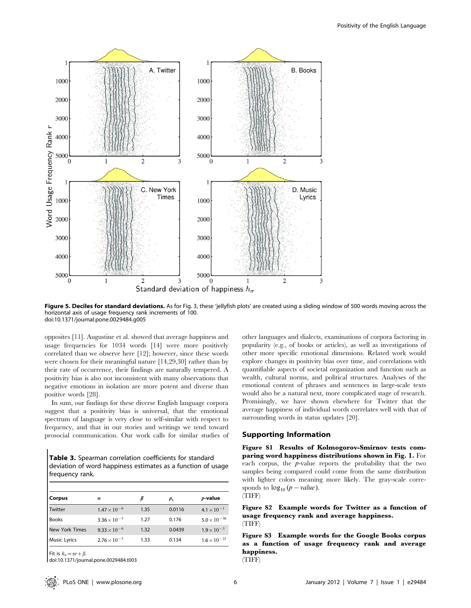

Figure 5. Deciles for standard deviations. As for Fig. 3, these 'jellyfish plots' are created using a sliding window of 500 words moving across the horizontal axis of usage frequency rank increments of 100. doi:10.1371/journal.pone.0029484.g005

opposites [11]. Augustine et al. showed that average happiness and usage frequencies for 1034 words [14] were more positively correlated than we observe here [12]; however, since these words were chosen for their meaningful nature [14,29,30] rather than by their rate of occurrence, their findings are naturally tempered. A positivity bias is also not inconsistent with many observations that negative emotions in isolation are more potent and diverse than positive words [28].

In sum, our findings for these diverse English language corpora suggest that a positivity bias is universal, that the emotional spectrum of language is very close to self-similar with respect to frequency, and that in our stories and writings we tend toward prosocial communication. Our work calls for similar studies of

Table 3. Spearman correlation coefficients for standard deviation of word happiness estimates as a function of usage frequency rank.

| Corpus                | $\alpha$              |      | $\rho_{\rm s}$ | $p$ -value            |
|-----------------------|-----------------------|------|----------------|-----------------------|
| Twitter               | $1.47 \times 10^{-6}$ | 1.35 | 0.0116         | $4.1 \times 10^{-1}$  |
| <b>Books</b>          | $3.36 \times 10^{-5}$ | 1.27 | 0.176          | $5.0 \times 10^{-36}$ |
| <b>New York Times</b> | $9.33 \times 10^{-6}$ | 1.32 | 0.0439         | $1.9 \times 10^{-3}$  |
| <b>Music Lyrics</b>   | $2.76 \times 10^{-5}$ | 1.33 | 0.134          | $1.6 \times 10^{-21}$ |

Fit is  $h<sub>a</sub> = \alpha r + \beta$ . doi:10.1371/journal.pone.0029484.t003 other languages and dialects, examinations of corpora factoring in popularity (e.g., of books or articles), as well as investigations of other more specific emotional dimensions. Related work would explore changes in positivity bias over time, and correlations with quantifiable aspects of societal organization and function such as wealth, cultural norms, and political structures. Analyses of the emotional content of phrases and sentences in large-scale texts would also be a natural next, more complicated stage of research. Promisingly, we have shown elsewhere for Twitter that the average happiness of individual words correlates well with that of surrounding words in status updates [20].

#### Supporting Information

Figure S1 Results of Kolmogorov-Smirnov tests comparing word happiness distributions shown in Fig. 1. For each corpus, the  $p$ -value reports the probability that the two samples being compared could come from the same distribution with lighter colors meaning more likely. The gray-scale corresponds to  $log_{10} (p-value)$ . (TIFF)

Figure S2 Example words for Twitter as a function of usage frequency rank and average happiness. (TIFF)

Figure S3 Example words for the Google Books corpus as a function of usage frequency rank and average happiness.

(TIFF)